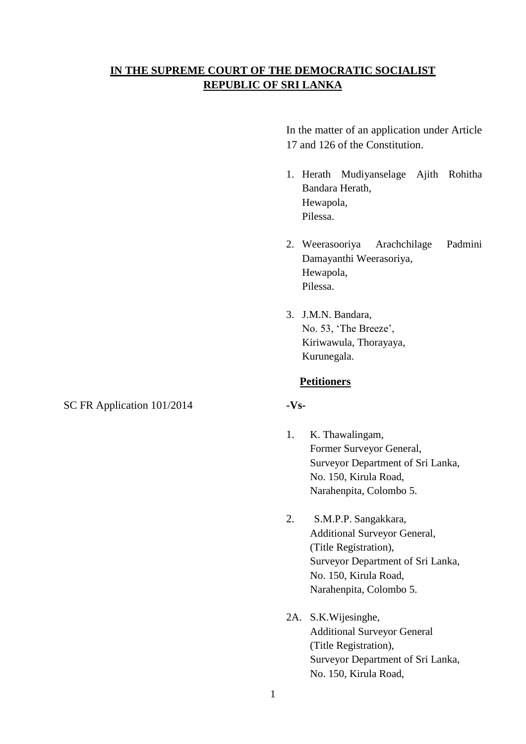# **IN THE SUPREME COURT OF THE DEMOCRATIC SOCIALIST REPUBLIC OF SRI LANKA**

In the matter of an application under Article 17 and 126 of the Constitution.

- 1. Herath Mudiyanselage Ajith Rohitha Bandara Herath, Hewapola, Pilessa.
- 2. Weerasooriya Arachchilage Padmini Damayanthi Weerasoriya, Hewapola, Pilessa.
- 3. J.M.N. Bandara, No. 53, 'The Breeze', Kiriwawula, Thorayaya, Kurunegala.

### **Petitioners**

- 1. K. Thawalingam, Former Surveyor General, Surveyor Department of Sri Lanka, No. 150, Kirula Road, Narahenpita, Colombo 5.
- 2. S.M.P.P. Sangakkara, Additional Surveyor General, (Title Registration), Surveyor Department of Sri Lanka, No. 150, Kirula Road, Narahenpita, Colombo 5.
- 2A. S.K.Wijesinghe, Additional Surveyor General (Title Registration), Surveyor Department of Sri Lanka, No. 150, Kirula Road,

SC FR Application  $101/2014$  **-Vs-**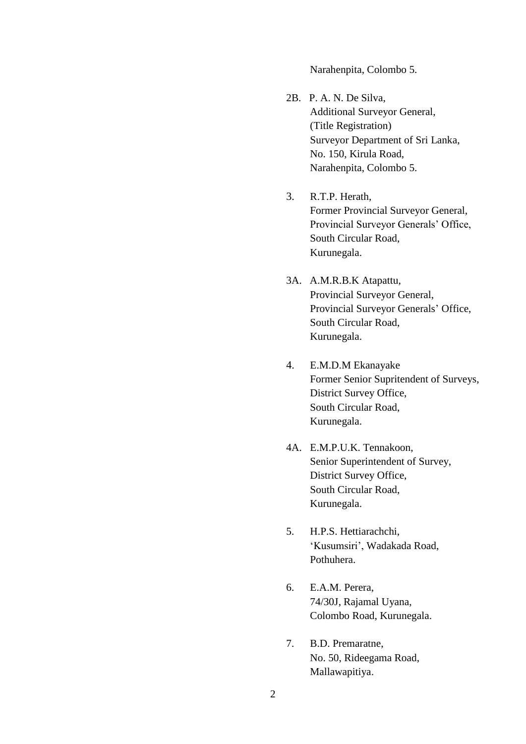Narahenpita, Colombo 5.

- 2B. P. A. N. De Silva, Additional Surveyor General, (Title Registration) Surveyor Department of Sri Lanka, No. 150, Kirula Road, Narahenpita, Colombo 5.
- 3. R.T.P. Herath, Former Provincial Surveyor General, Provincial Surveyor Generals' Office, South Circular Road, Kurunegala.
- 3A. A.M.R.B.K Atapattu, Provincial Surveyor General, Provincial Surveyor Generals' Office, South Circular Road, Kurunegala.
- 4. E.M.D.M Ekanayake Former Senior Supritendent of Surveys, District Survey Office, South Circular Road, Kurunegala.
- 4A. E.M.P.U.K. Tennakoon, Senior Superintendent of Survey, District Survey Office, South Circular Road, Kurunegala.
- 5. H.P.S. Hettiarachchi, 'Kusumsiri', Wadakada Road, Pothuhera.
- 6. E.A.M. Perera, 74/30J, Rajamal Uyana, Colombo Road, Kurunegala.
- 7. B.D. Premaratne, No. 50, Rideegama Road, Mallawapitiya.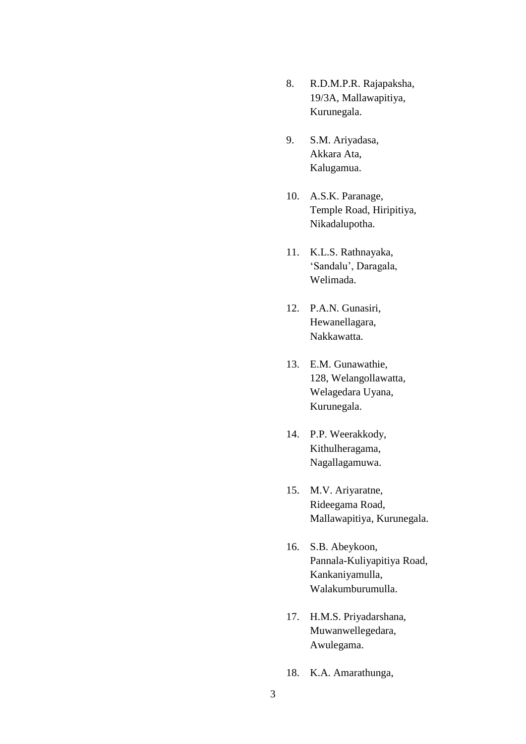- 8. R.D.M.P.R. Rajapaksha, 19/3A, Mallawapitiya, Kurunegala.
- 9. S.M. Ariyadasa, Akkara Ata, Kalugamua.
- 10. A.S.K. Paranage, Temple Road, Hiripitiya, Nikadalupotha.
- 11. K.L.S. Rathnayaka, 'Sandalu', Daragala, Welimada.
- 12. P.A.N. Gunasiri, Hewanellagara, Nakkawatta.
- 13. E.M. Gunawathie, 128, Welangollawatta, Welagedara Uyana, Kurunegala.
- 14. P.P. Weerakkody, Kithulheragama, Nagallagamuwa.
- 15. M.V. Ariyaratne, Rideegama Road, Mallawapitiya, Kurunegala.
- 16. S.B. Abeykoon, Pannala-Kuliyapitiya Road, Kankaniyamulla, Walakumburumulla.
- 17. H.M.S. Priyadarshana, Muwanwellegedara, Awulegama.
- 18. K.A. Amarathunga,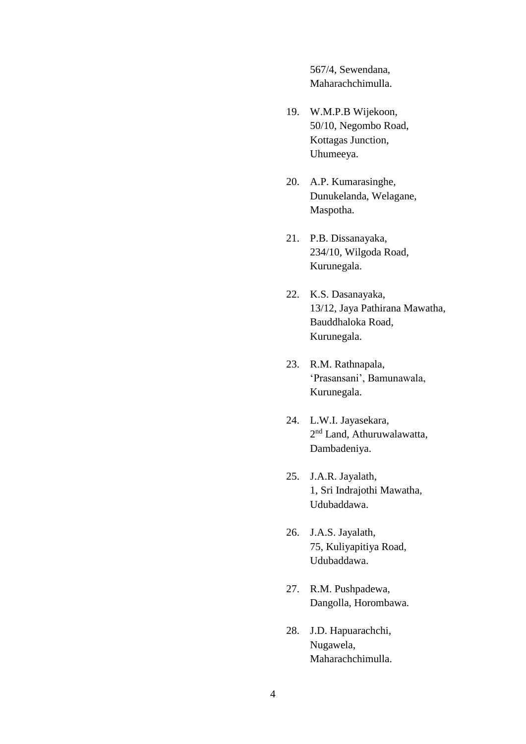567/4, Sewendana, Maharachchimulla.

- 19. W.M.P.B Wijekoon, 50/10, Negombo Road, Kottagas Junction, Uhumeeya.
- 20. A.P. Kumarasinghe, Dunukelanda, Welagane, Maspotha.
- 21. P.B. Dissanayaka, 234/10, Wilgoda Road, Kurunegala.
- 22. K.S. Dasanayaka, 13/12, Jaya Pathirana Mawatha, Bauddhaloka Road, Kurunegala.
- 23. R.M. Rathnapala, 'Prasansani', Bamunawala, Kurunegala.
- 24. L.W.I. Jayasekara, 2<sup>nd</sup> Land, Athuruwalawatta, Dambadeniya.
- 25. J.A.R. Jayalath, 1, Sri Indrajothi Mawatha, Udubaddawa.
- 26. J.A.S. Jayalath, 75, Kuliyapitiya Road, Udubaddawa.
- 27. R.M. Pushpadewa, Dangolla, Horombawa.
- 28. J.D. Hapuarachchi, Nugawela, Maharachchimulla.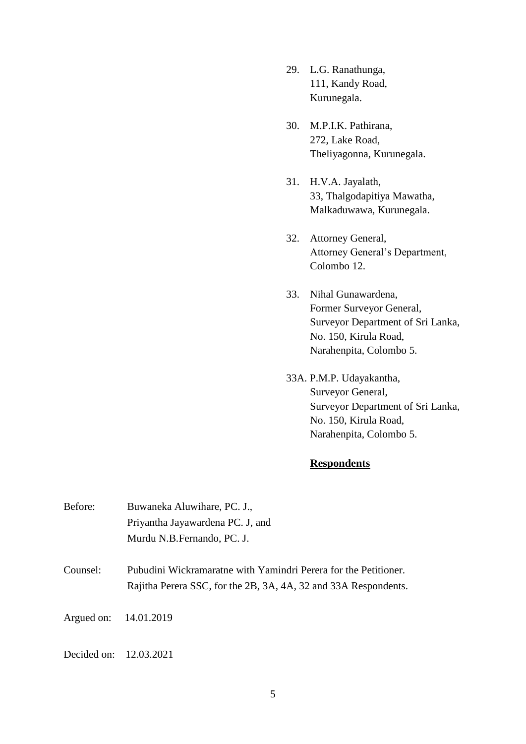- 29. L.G. Ranathunga, 111, Kandy Road, Kurunegala.
- 30. M.P.I.K. Pathirana, 272, Lake Road, Theliyagonna, Kurunegala.
- 31. H.V.A. Jayalath, 33, Thalgodapitiya Mawatha, Malkaduwawa, Kurunegala.
- 32. Attorney General, Attorney General's Department, Colombo 12.
- 33. Nihal Gunawardena, Former Surveyor General, Surveyor Department of Sri Lanka, No. 150, Kirula Road, Narahenpita, Colombo 5.
- 33A. P.M.P. Udayakantha, Surveyor General, Surveyor Department of Sri Lanka, No. 150, Kirula Road, Narahenpita, Colombo 5.

## **Respondents**

| Before:               | Buwaneka Aluwihare, PC. J.,                                                                                     |
|-----------------------|-----------------------------------------------------------------------------------------------------------------|
|                       | Priyantha Jayawardena PC. J, and                                                                                |
|                       | Murdu N.B. Fernando, PC. J.                                                                                     |
| $\sum_{n=1}^{\infty}$ | $\mathbf{D}$ , but in $\mathbf{M}$ is a supposed to a suite $\mathbf{V}$ and $\mathbf{L}$ is a sum $\mathbf{D}$ |

Counsel: Pubudini Wickramaratne with Yamindri Perera for the Petitioner. Rajitha Perera SSC, for the 2B, 3A, 4A, 32 and 33A Respondents.

Argued on: 14.01.2019

Decided on: 12.03.2021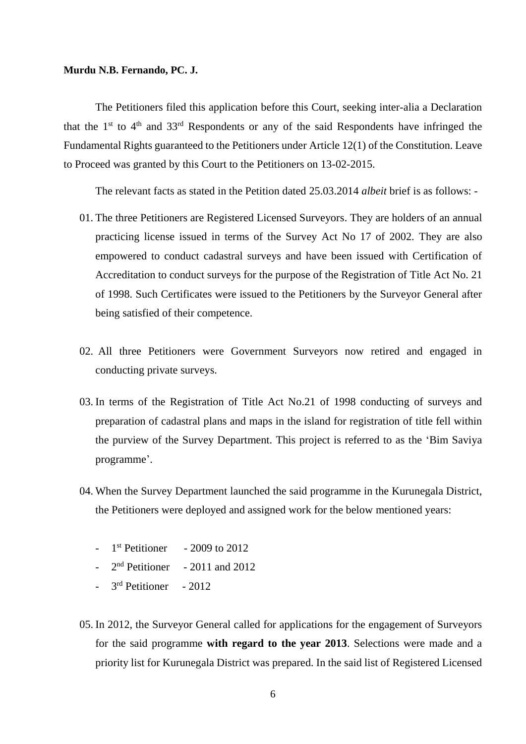#### **Murdu N.B. Fernando, PC. J.**

The Petitioners filed this application before this Court, seeking inter-alia a Declaration that the  $1<sup>st</sup>$  to  $4<sup>th</sup>$  and  $33<sup>rd</sup>$  Respondents or any of the said Respondents have infringed the Fundamental Rights guaranteed to the Petitioners under Article 12(1) of the Constitution. Leave to Proceed was granted by this Court to the Petitioners on 13-02-2015.

The relevant facts as stated in the Petition dated 25.03.2014 *albeit* brief is as follows: -

- 01. The three Petitioners are Registered Licensed Surveyors. They are holders of an annual practicing license issued in terms of the Survey Act No 17 of 2002. They are also empowered to conduct cadastral surveys and have been issued with Certification of Accreditation to conduct surveys for the purpose of the Registration of Title Act No. 21 of 1998. Such Certificates were issued to the Petitioners by the Surveyor General after being satisfied of their competence.
- 02. All three Petitioners were Government Surveyors now retired and engaged in conducting private surveys.
- 03. In terms of the Registration of Title Act No.21 of 1998 conducting of surveys and preparation of cadastral plans and maps in the island for registration of title fell within the purview of the Survey Department. This project is referred to as the 'Bim Saviya programme'.
- 04. When the Survey Department launched the said programme in the Kurunegala District, the Petitioners were deployed and assigned work for the below mentioned years:
	- $-$  1<sup>st</sup> Petitioner  $-2009$  to  $2012$
	- $-2<sup>nd</sup>$  Petitioner  $-2011$  and 2012
	- 3<sup>rd</sup> Petitioner 2012
- 05. In 2012, the Surveyor General called for applications for the engagement of Surveyors for the said programme **with regard to the year 2013**. Selections were made and a priority list for Kurunegala District was prepared. In the said list of Registered Licensed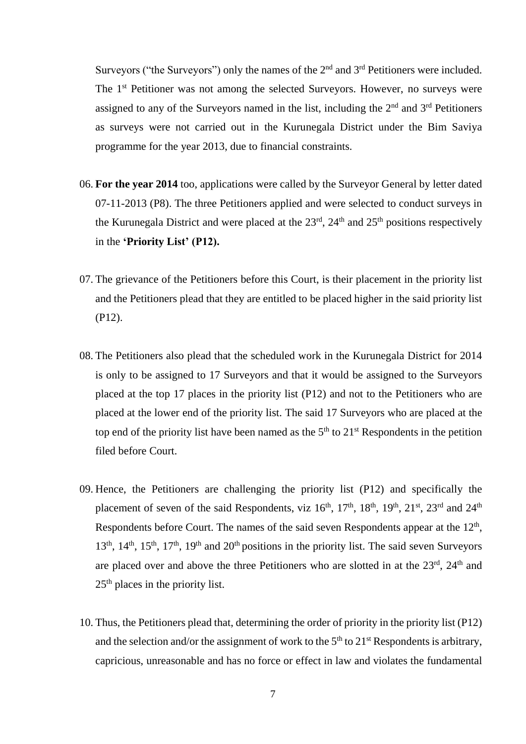Surveyors ("the Surveyors") only the names of the  $2<sup>nd</sup>$  and  $3<sup>rd</sup>$  Petitioners were included. The 1<sup>st</sup> Petitioner was not among the selected Surveyors. However, no surveys were assigned to any of the Surveyors named in the list, including the 2<sup>nd</sup> and 3<sup>rd</sup> Petitioners as surveys were not carried out in the Kurunegala District under the Bim Saviya programme for the year 2013, due to financial constraints.

- 06. **For the year 2014** too, applications were called by the Surveyor General by letter dated 07-11-2013 (P8). The three Petitioners applied and were selected to conduct surveys in the Kurunegala District and were placed at the  $23<sup>rd</sup>$ ,  $24<sup>th</sup>$  and  $25<sup>th</sup>$  positions respectively in the **'Priority List' (P12).**
- 07. The grievance of the Petitioners before this Court, is their placement in the priority list and the Petitioners plead that they are entitled to be placed higher in the said priority list (P12).
- 08. The Petitioners also plead that the scheduled work in the Kurunegala District for 2014 is only to be assigned to 17 Surveyors and that it would be assigned to the Surveyors placed at the top 17 places in the priority list (P12) and not to the Petitioners who are placed at the lower end of the priority list. The said 17 Surveyors who are placed at the top end of the priority list have been named as the  $5<sup>th</sup>$  to  $21<sup>st</sup>$  Respondents in the petition filed before Court.
- 09. Hence, the Petitioners are challenging the priority list (P12) and specifically the placement of seven of the said Respondents, viz  $16<sup>th</sup>$ ,  $17<sup>th</sup>$ ,  $18<sup>th</sup>$ ,  $19<sup>th</sup>$ ,  $21<sup>st</sup>$ ,  $23<sup>rd</sup>$  and  $24<sup>th</sup>$ Respondents before Court. The names of the said seven Respondents appear at the  $12<sup>th</sup>$ , 13<sup>th</sup>, 14<sup>th</sup>, 15<sup>th</sup>, 17<sup>th</sup>, 19<sup>th</sup> and 20<sup>th</sup> positions in the priority list. The said seven Surveyors are placed over and above the three Petitioners who are slotted in at the  $23<sup>rd</sup>$ ,  $24<sup>th</sup>$  and  $25<sup>th</sup>$  places in the priority list.
- 10. Thus, the Petitioners plead that, determining the order of priority in the priority list (P12) and the selection and/or the assignment of work to the  $5<sup>th</sup>$  to  $21<sup>st</sup>$  Respondents is arbitrary, capricious, unreasonable and has no force or effect in law and violates the fundamental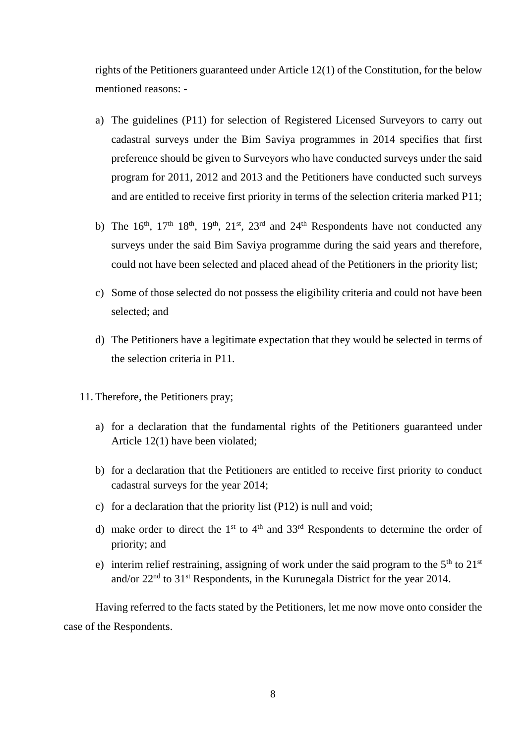rights of the Petitioners guaranteed under Article 12(1) of the Constitution, for the below mentioned reasons: -

- a) The guidelines (P11) for selection of Registered Licensed Surveyors to carry out cadastral surveys under the Bim Saviya programmes in 2014 specifies that first preference should be given to Surveyors who have conducted surveys under the said program for 2011, 2012 and 2013 and the Petitioners have conducted such surveys and are entitled to receive first priority in terms of the selection criteria marked P11;
- b) The  $16<sup>th</sup>$ ,  $17<sup>th</sup>$   $18<sup>th</sup>$ ,  $19<sup>th</sup>$ ,  $21<sup>st</sup>$ ,  $23<sup>rd</sup>$  and  $24<sup>th</sup>$  Respondents have not conducted any surveys under the said Bim Saviya programme during the said years and therefore, could not have been selected and placed ahead of the Petitioners in the priority list;
- c) Some of those selected do not possess the eligibility criteria and could not have been selected; and
- d) The Petitioners have a legitimate expectation that they would be selected in terms of the selection criteria in P11.
- 11. Therefore, the Petitioners pray;
	- a) for a declaration that the fundamental rights of the Petitioners guaranteed under Article 12(1) have been violated;
	- b) for a declaration that the Petitioners are entitled to receive first priority to conduct cadastral surveys for the year 2014;
	- c) for a declaration that the priority list (P12) is null and void;
	- d) make order to direct the 1<sup>st</sup> to 4<sup>th</sup> and 33<sup>rd</sup> Respondents to determine the order of priority; and
	- e) interim relief restraining, assigning of work under the said program to the  $5<sup>th</sup>$  to  $21<sup>st</sup>$ and/or 22nd to 31st Respondents, in the Kurunegala District for the year 2014.

Having referred to the facts stated by the Petitioners, let me now move onto consider the case of the Respondents.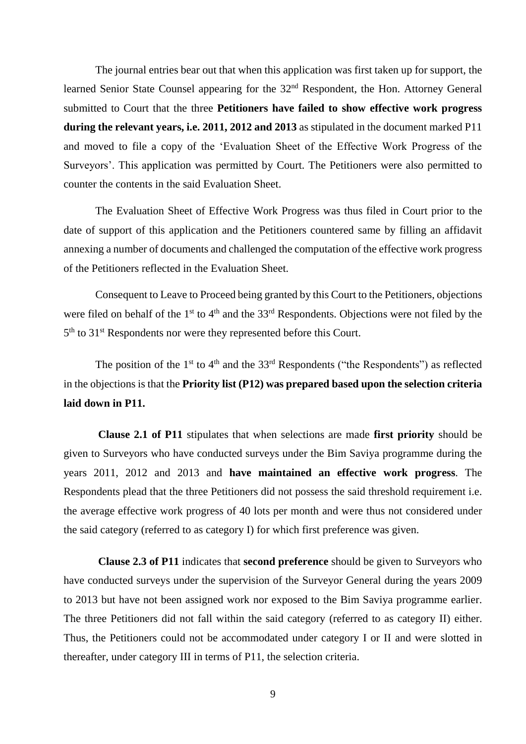The journal entries bear out that when this application was first taken up for support, the learned Senior State Counsel appearing for the 32nd Respondent, the Hon. Attorney General submitted to Court that the three **Petitioners have failed to show effective work progress during the relevant years, i.e. 2011, 2012 and 2013** as stipulated in the document marked P11 and moved to file a copy of the 'Evaluation Sheet of the Effective Work Progress of the Surveyors'. This application was permitted by Court. The Petitioners were also permitted to counter the contents in the said Evaluation Sheet.

The Evaluation Sheet of Effective Work Progress was thus filed in Court prior to the date of support of this application and the Petitioners countered same by filling an affidavit annexing a number of documents and challenged the computation of the effective work progress of the Petitioners reflected in the Evaluation Sheet.

Consequent to Leave to Proceed being granted by this Court to the Petitioners, objections were filed on behalf of the  $1<sup>st</sup>$  to  $4<sup>th</sup>$  and the  $33<sup>rd</sup>$  Respondents. Objections were not filed by the 5<sup>th</sup> to 31<sup>st</sup> Respondents nor were they represented before this Court.

The position of the  $1<sup>st</sup>$  to  $4<sup>th</sup>$  and the  $33<sup>rd</sup>$  Respondents ("the Respondents") as reflected in the objections is that the **Priority list (P12) was prepared based upon the selection criteria laid down in P11.**

**Clause 2.1 of P11** stipulates that when selections are made **first priority** should be given to Surveyors who have conducted surveys under the Bim Saviya programme during the years 2011, 2012 and 2013 and **have maintained an effective work progress**. The Respondents plead that the three Petitioners did not possess the said threshold requirement i.e. the average effective work progress of 40 lots per month and were thus not considered under the said category (referred to as category I) for which first preference was given.

**Clause 2.3 of P11** indicates that **second preference** should be given to Surveyors who have conducted surveys under the supervision of the Surveyor General during the years 2009 to 2013 but have not been assigned work nor exposed to the Bim Saviya programme earlier. The three Petitioners did not fall within the said category (referred to as category II) either. Thus, the Petitioners could not be accommodated under category I or II and were slotted in thereafter, under category III in terms of P11, the selection criteria.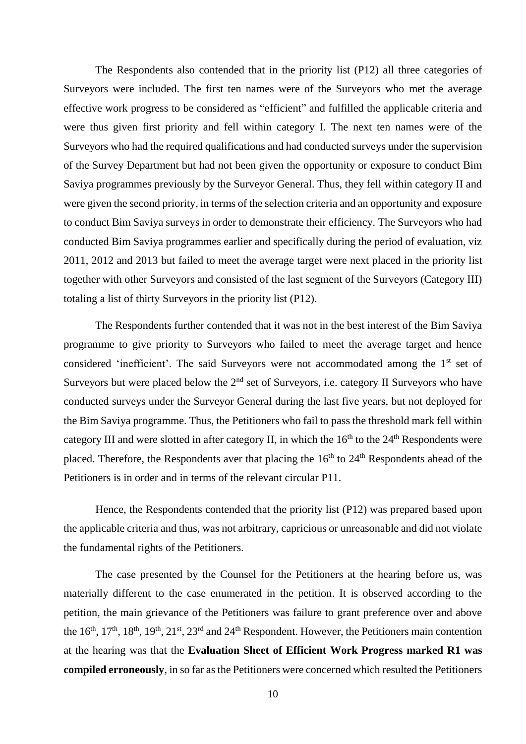The Respondents also contended that in the priority list (P12) all three categories of Surveyors were included. The first ten names were of the Surveyors who met the average effective work progress to be considered as "efficient" and fulfilled the applicable criteria and were thus given first priority and fell within category I. The next ten names were of the Surveyors who had the required qualifications and had conducted surveys under the supervision of the Survey Department but had not been given the opportunity or exposure to conduct Bim Saviya programmes previously by the Surveyor General. Thus, they fell within category II and were given the second priority, in terms of the selection criteria and an opportunity and exposure to conduct Bim Saviya surveys in order to demonstrate their efficiency. The Surveyors who had conducted Bim Saviya programmes earlier and specifically during the period of evaluation, viz 2011, 2012 and 2013 but failed to meet the average target were next placed in the priority list together with other Surveyors and consisted of the last segment of the Surveyors (Category III) totaling a list of thirty Surveyors in the priority list (P12).

The Respondents further contended that it was not in the best interest of the Bim Saviya programme to give priority to Surveyors who failed to meet the average target and hence considered 'inefficient'. The said Surveyors were not accommodated among the 1<sup>st</sup> set of Surveyors but were placed below the 2<sup>nd</sup> set of Surveyors, i.e. category II Surveyors who have conducted surveys under the Surveyor General during the last five years, but not deployed for the Bim Saviya programme. Thus, the Petitioners who fail to pass the threshold mark fell within category III and were slotted in after category II, in which the  $16<sup>th</sup>$  to the  $24<sup>th</sup>$  Respondents were placed. Therefore, the Respondents aver that placing the  $16<sup>th</sup>$  to  $24<sup>th</sup>$  Respondents ahead of the Petitioners is in order and in terms of the relevant circular P11.

Hence, the Respondents contended that the priority list (P12) was prepared based upon the applicable criteria and thus, was not arbitrary, capricious or unreasonable and did not violate the fundamental rights of the Petitioners.

The case presented by the Counsel for the Petitioners at the hearing before us, was materially different to the case enumerated in the petition. It is observed according to the petition, the main grievance of the Petitioners was failure to grant preference over and above the  $16<sup>th</sup>$ ,  $17<sup>th</sup>$ ,  $18<sup>th</sup>$ ,  $19<sup>th</sup>$ ,  $21<sup>st</sup>$ ,  $23<sup>rd</sup>$  and  $24<sup>th</sup>$  Respondent. However, the Petitioners main contention at the hearing was that the **Evaluation Sheet of Efficient Work Progress marked R1 was compiled erroneously**, in so far as the Petitioners were concerned which resulted the Petitioners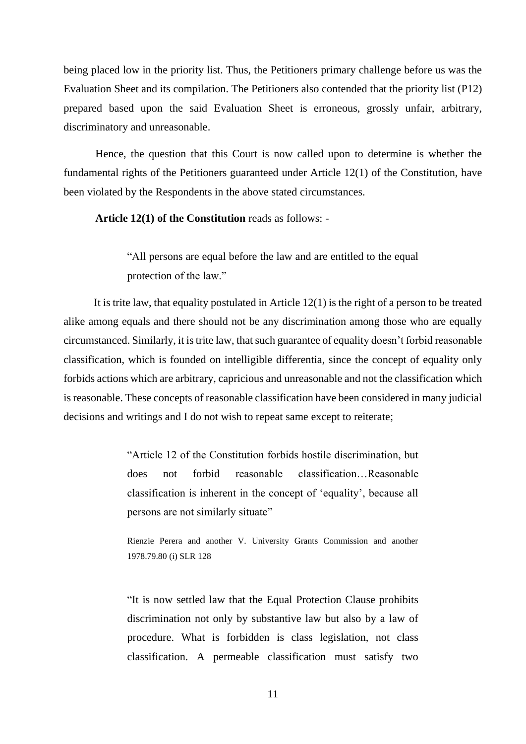being placed low in the priority list. Thus, the Petitioners primary challenge before us was the Evaluation Sheet and its compilation. The Petitioners also contended that the priority list (P12) prepared based upon the said Evaluation Sheet is erroneous, grossly unfair, arbitrary, discriminatory and unreasonable.

Hence, the question that this Court is now called upon to determine is whether the fundamental rights of the Petitioners guaranteed under Article 12(1) of the Constitution, have been violated by the Respondents in the above stated circumstances.

#### **Article 12(1) of the Constitution** reads as follows: -

"All persons are equal before the law and are entitled to the equal protection of the law."

 It is trite law, that equality postulated in Article 12(1) is the right of a person to be treated alike among equals and there should not be any discrimination among those who are equally circumstanced. Similarly, it is trite law, that such guarantee of equality doesn't forbid reasonable classification, which is founded on intelligible differentia, since the concept of equality only forbids actions which are arbitrary, capricious and unreasonable and not the classification which is reasonable. These concepts of reasonable classification have been considered in many judicial decisions and writings and I do not wish to repeat same except to reiterate;

> "Article 12 of the Constitution forbids hostile discrimination, but does not forbid reasonable classification…Reasonable classification is inherent in the concept of 'equality', because all persons are not similarly situate"

> Rienzie Perera and another V. University Grants Commission and another 1978.79.80 (i) SLR 128

> "It is now settled law that the Equal Protection Clause prohibits discrimination not only by substantive law but also by a law of procedure. What is forbidden is class legislation, not class classification. A permeable classification must satisfy two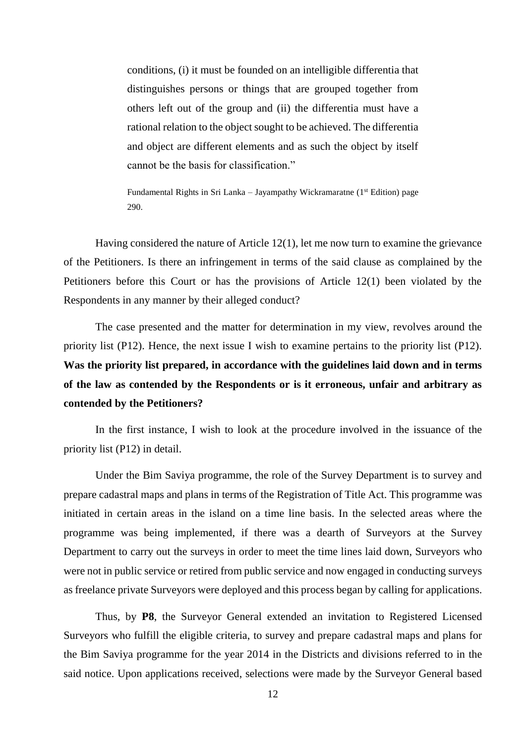conditions, (i) it must be founded on an intelligible differentia that distinguishes persons or things that are grouped together from others left out of the group and (ii) the differentia must have a rational relation to the object sought to be achieved. The differentia and object are different elements and as such the object by itself cannot be the basis for classification."

Fundamental Rights in Sri Lanka – Jayampathy Wickramaratne ( $1<sup>st</sup>$  Edition) page 290.

Having considered the nature of Article 12(1), let me now turn to examine the grievance of the Petitioners. Is there an infringement in terms of the said clause as complained by the Petitioners before this Court or has the provisions of Article 12(1) been violated by the Respondents in any manner by their alleged conduct?

The case presented and the matter for determination in my view, revolves around the priority list (P12). Hence, the next issue I wish to examine pertains to the priority list (P12). **Was the priority list prepared, in accordance with the guidelines laid down and in terms of the law as contended by the Respondents or is it erroneous, unfair and arbitrary as contended by the Petitioners?**

In the first instance, I wish to look at the procedure involved in the issuance of the priority list (P12) in detail.

Under the Bim Saviya programme, the role of the Survey Department is to survey and prepare cadastral maps and plans in terms of the Registration of Title Act. This programme was initiated in certain areas in the island on a time line basis. In the selected areas where the programme was being implemented, if there was a dearth of Surveyors at the Survey Department to carry out the surveys in order to meet the time lines laid down, Surveyors who were not in public service or retired from public service and now engaged in conducting surveys as freelance private Surveyors were deployed and this process began by calling for applications.

Thus, by **P8**, the Surveyor General extended an invitation to Registered Licensed Surveyors who fulfill the eligible criteria, to survey and prepare cadastral maps and plans for the Bim Saviya programme for the year 2014 in the Districts and divisions referred to in the said notice. Upon applications received, selections were made by the Surveyor General based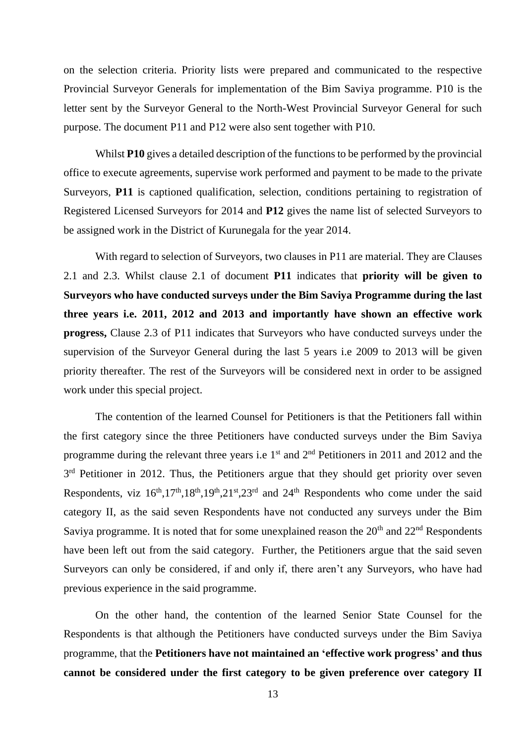on the selection criteria. Priority lists were prepared and communicated to the respective Provincial Surveyor Generals for implementation of the Bim Saviya programme. P10 is the letter sent by the Surveyor General to the North-West Provincial Surveyor General for such purpose. The document P11 and P12 were also sent together with P10.

Whilst **P10** gives a detailed description of the functions to be performed by the provincial office to execute agreements, supervise work performed and payment to be made to the private Surveyors, **P11** is captioned qualification, selection, conditions pertaining to registration of Registered Licensed Surveyors for 2014 and **P12** gives the name list of selected Surveyors to be assigned work in the District of Kurunegala for the year 2014.

With regard to selection of Surveyors, two clauses in P11 are material. They are Clauses 2.1 and 2.3. Whilst clause 2.1 of document **P11** indicates that **priority will be given to Surveyors who have conducted surveys under the Bim Saviya Programme during the last three years i.e. 2011, 2012 and 2013 and importantly have shown an effective work progress,** Clause 2.3 of P11 indicates that Surveyors who have conducted surveys under the supervision of the Surveyor General during the last 5 years i.e 2009 to 2013 will be given priority thereafter. The rest of the Surveyors will be considered next in order to be assigned work under this special project.

The contention of the learned Counsel for Petitioners is that the Petitioners fall within the first category since the three Petitioners have conducted surveys under the Bim Saviya programme during the relevant three years i.e  $1<sup>st</sup>$  and  $2<sup>nd</sup>$  Petitioners in 2011 and 2012 and the 3<sup>rd</sup> Petitioner in 2012. Thus, the Petitioners argue that they should get priority over seven Respondents, viz  $16<sup>th</sup>,17<sup>th</sup>,18<sup>th</sup>,19<sup>th</sup>,21<sup>st</sup>,23<sup>rd</sup>$  and  $24<sup>th</sup>$  Respondents who come under the said category II, as the said seven Respondents have not conducted any surveys under the Bim Saviya programme. It is noted that for some unexplained reason the  $20<sup>th</sup>$  and  $22<sup>nd</sup>$  Respondents have been left out from the said category. Further, the Petitioners argue that the said seven Surveyors can only be considered, if and only if, there aren't any Surveyors, who have had previous experience in the said programme.

On the other hand, the contention of the learned Senior State Counsel for the Respondents is that although the Petitioners have conducted surveys under the Bim Saviya programme, that the **Petitioners have not maintained an 'effective work progress' and thus cannot be considered under the first category to be given preference over category II**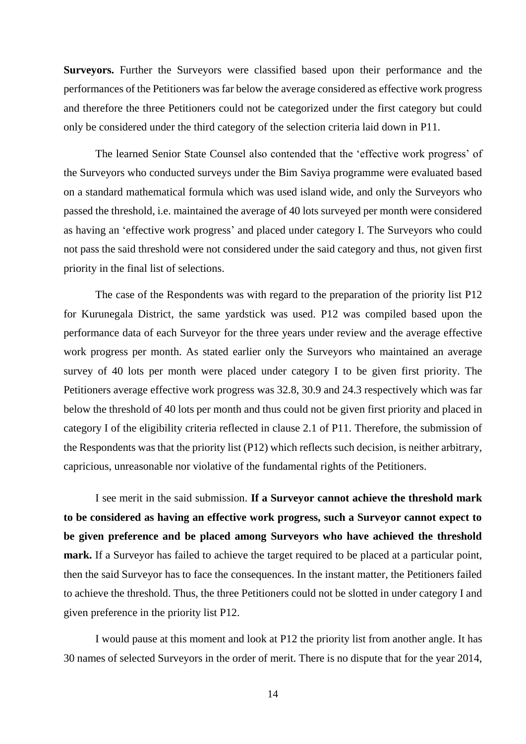**Surveyors.** Further the Surveyors were classified based upon their performance and the performances of the Petitioners was far below the average considered as effective work progress and therefore the three Petitioners could not be categorized under the first category but could only be considered under the third category of the selection criteria laid down in P11.

The learned Senior State Counsel also contended that the 'effective work progress' of the Surveyors who conducted surveys under the Bim Saviya programme were evaluated based on a standard mathematical formula which was used island wide, and only the Surveyors who passed the threshold, i.e. maintained the average of 40 lots surveyed per month were considered as having an 'effective work progress' and placed under category I. The Surveyors who could not pass the said threshold were not considered under the said category and thus, not given first priority in the final list of selections.

The case of the Respondents was with regard to the preparation of the priority list P12 for Kurunegala District, the same yardstick was used. P12 was compiled based upon the performance data of each Surveyor for the three years under review and the average effective work progress per month. As stated earlier only the Surveyors who maintained an average survey of 40 lots per month were placed under category I to be given first priority. The Petitioners average effective work progress was 32.8, 30.9 and 24.3 respectively which was far below the threshold of 40 lots per month and thus could not be given first priority and placed in category I of the eligibility criteria reflected in clause 2.1 of P11. Therefore, the submission of the Respondents was that the priority list (P12) which reflects such decision, is neither arbitrary, capricious, unreasonable nor violative of the fundamental rights of the Petitioners.

I see merit in the said submission. **If a Surveyor cannot achieve the threshold mark to be considered as having an effective work progress, such a Surveyor cannot expect to be given preference and be placed among Surveyors who have achieved the threshold mark.** If a Surveyor has failed to achieve the target required to be placed at a particular point, then the said Surveyor has to face the consequences. In the instant matter, the Petitioners failed to achieve the threshold. Thus, the three Petitioners could not be slotted in under category I and given preference in the priority list P12.

I would pause at this moment and look at P12 the priority list from another angle. It has 30 names of selected Surveyors in the order of merit. There is no dispute that for the year 2014,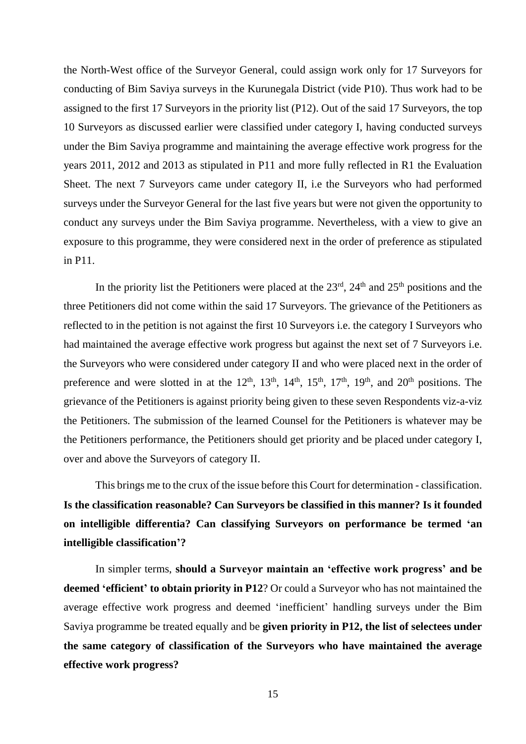the North-West office of the Surveyor General, could assign work only for 17 Surveyors for conducting of Bim Saviya surveys in the Kurunegala District (vide P10). Thus work had to be assigned to the first 17 Surveyors in the priority list (P12). Out of the said 17 Surveyors, the top 10 Surveyors as discussed earlier were classified under category I, having conducted surveys under the Bim Saviya programme and maintaining the average effective work progress for the years 2011, 2012 and 2013 as stipulated in P11 and more fully reflected in R1 the Evaluation Sheet. The next 7 Surveyors came under category II, i.e the Surveyors who had performed surveys under the Surveyor General for the last five years but were not given the opportunity to conduct any surveys under the Bim Saviya programme. Nevertheless, with a view to give an exposure to this programme, they were considered next in the order of preference as stipulated in P11.

In the priority list the Petitioners were placed at the  $23<sup>rd</sup>$ ,  $24<sup>th</sup>$  and  $25<sup>th</sup>$  positions and the three Petitioners did not come within the said 17 Surveyors. The grievance of the Petitioners as reflected to in the petition is not against the first 10 Surveyors i.e. the category I Surveyors who had maintained the average effective work progress but against the next set of 7 Surveyors i.e. the Surveyors who were considered under category II and who were placed next in the order of preference and were slotted in at the  $12<sup>th</sup>$ ,  $13<sup>th</sup>$ ,  $14<sup>th</sup>$ ,  $15<sup>th</sup>$ ,  $17<sup>th</sup>$ ,  $19<sup>th</sup>$ , and  $20<sup>th</sup>$  positions. The grievance of the Petitioners is against priority being given to these seven Respondents viz-a-viz the Petitioners. The submission of the learned Counsel for the Petitioners is whatever may be the Petitioners performance, the Petitioners should get priority and be placed under category I, over and above the Surveyors of category II.

This brings me to the crux of the issue before this Court for determination - classification. **Is the classification reasonable? Can Surveyors be classified in this manner? Is it founded on intelligible differentia? Can classifying Surveyors on performance be termed 'an intelligible classification'?** 

In simpler terms, **should a Surveyor maintain an 'effective work progress' and be deemed 'efficient' to obtain priority in P12**? Or could a Surveyor who has not maintained the average effective work progress and deemed 'inefficient' handling surveys under the Bim Saviya programme be treated equally and be **given priority in P12, the list of selectees under the same category of classification of the Surveyors who have maintained the average effective work progress?**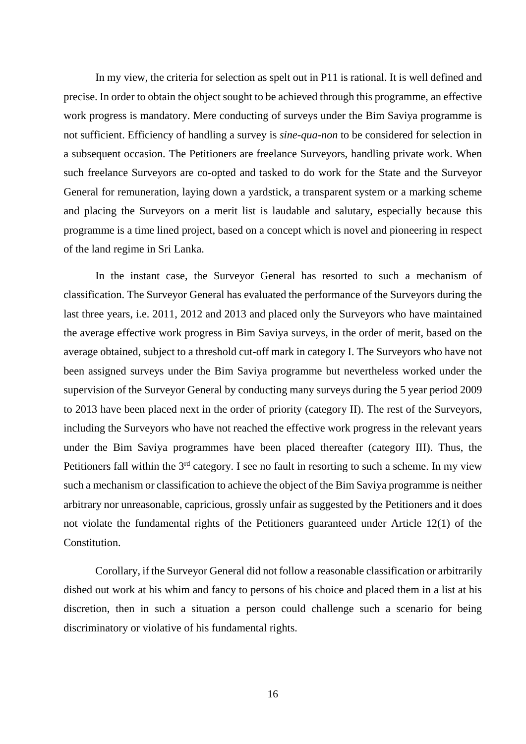In my view, the criteria for selection as spelt out in P11 is rational. It is well defined and precise. In order to obtain the object sought to be achieved through this programme, an effective work progress is mandatory. Mere conducting of surveys under the Bim Saviya programme is not sufficient. Efficiency of handling a survey is *sine-qua-non* to be considered for selection in a subsequent occasion. The Petitioners are freelance Surveyors, handling private work. When such freelance Surveyors are co-opted and tasked to do work for the State and the Surveyor General for remuneration, laying down a yardstick, a transparent system or a marking scheme and placing the Surveyors on a merit list is laudable and salutary, especially because this programme is a time lined project, based on a concept which is novel and pioneering in respect of the land regime in Sri Lanka.

In the instant case, the Surveyor General has resorted to such a mechanism of classification. The Surveyor General has evaluated the performance of the Surveyors during the last three years, i.e. 2011, 2012 and 2013 and placed only the Surveyors who have maintained the average effective work progress in Bim Saviya surveys, in the order of merit, based on the average obtained, subject to a threshold cut-off mark in category I. The Surveyors who have not been assigned surveys under the Bim Saviya programme but nevertheless worked under the supervision of the Surveyor General by conducting many surveys during the 5 year period 2009 to 2013 have been placed next in the order of priority (category II). The rest of the Surveyors, including the Surveyors who have not reached the effective work progress in the relevant years under the Bim Saviya programmes have been placed thereafter (category III). Thus, the Petitioners fall within the  $3<sup>rd</sup>$  category. I see no fault in resorting to such a scheme. In my view such a mechanism or classification to achieve the object of the Bim Saviya programme is neither arbitrary nor unreasonable, capricious, grossly unfair as suggested by the Petitioners and it does not violate the fundamental rights of the Petitioners guaranteed under Article 12(1) of the Constitution.

Corollary, if the Surveyor General did not follow a reasonable classification or arbitrarily dished out work at his whim and fancy to persons of his choice and placed them in a list at his discretion, then in such a situation a person could challenge such a scenario for being discriminatory or violative of his fundamental rights.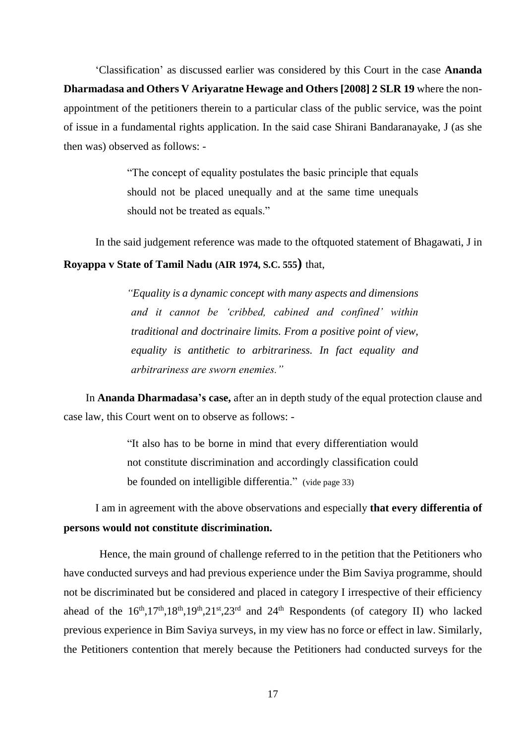'Classification' as discussed earlier was considered by this Court in the case **Ananda Dharmadasa and Others V Ariyaratne Hewage and Others [2008] 2 SLR 19** where the nonappointment of the petitioners therein to a particular class of the public service, was the point of issue in a fundamental rights application. In the said case Shirani Bandaranayake, J (as she then was) observed as follows: -

> "The concept of equality postulates the basic principle that equals should not be placed unequally and at the same time unequals should not be treated as equals."

In the said judgement reference was made to the oftquoted statement of Bhagawati, J in **Royappa v State of Tamil Nadu (AIR 1974, S.C. 555)** that,

> *"Equality is a dynamic concept with many aspects and dimensions and it cannot be 'cribbed, cabined and confined' within traditional and doctrinaire limits. From a positive point of view, equality is antithetic to arbitrariness. In fact equality and arbitrariness are sworn enemies."*

 In **Ananda Dharmadasa's case,** after an in depth study of the equal protection clause and case law, this Court went on to observe as follows: -

> "It also has to be borne in mind that every differentiation would not constitute discrimination and accordingly classification could be founded on intelligible differentia." (vide page 33)

I am in agreement with the above observations and especially **that every differentia of persons would not constitute discrimination.** 

Hence, the main ground of challenge referred to in the petition that the Petitioners who have conducted surveys and had previous experience under the Bim Saviya programme, should not be discriminated but be considered and placed in category I irrespective of their efficiency ahead of the  $16^{th}$ ,  $17^{th}$ ,  $18^{th}$ ,  $19^{th}$ ,  $21^{st}$ ,  $23^{rd}$  and  $24^{th}$  Respondents (of category II) who lacked previous experience in Bim Saviya surveys, in my view has no force or effect in law. Similarly, the Petitioners contention that merely because the Petitioners had conducted surveys for the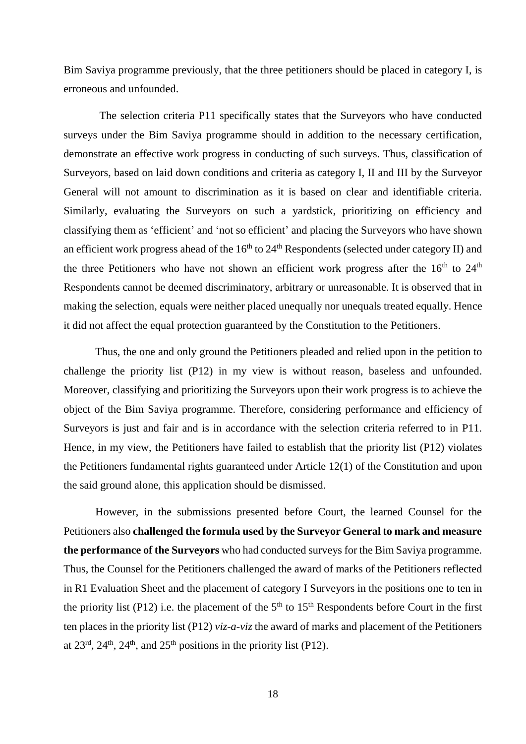Bim Saviya programme previously, that the three petitioners should be placed in category I, is erroneous and unfounded.

The selection criteria P11 specifically states that the Surveyors who have conducted surveys under the Bim Saviya programme should in addition to the necessary certification, demonstrate an effective work progress in conducting of such surveys. Thus, classification of Surveyors, based on laid down conditions and criteria as category I, II and III by the Surveyor General will not amount to discrimination as it is based on clear and identifiable criteria. Similarly, evaluating the Surveyors on such a yardstick, prioritizing on efficiency and classifying them as 'efficient' and 'not so efficient' and placing the Surveyors who have shown an efficient work progress ahead of the 16<sup>th</sup> to 24<sup>th</sup> Respondents (selected under category II) and the three Petitioners who have not shown an efficient work progress after the  $16<sup>th</sup>$  to  $24<sup>th</sup>$ Respondents cannot be deemed discriminatory, arbitrary or unreasonable. It is observed that in making the selection, equals were neither placed unequally nor unequals treated equally. Hence it did not affect the equal protection guaranteed by the Constitution to the Petitioners.

Thus, the one and only ground the Petitioners pleaded and relied upon in the petition to challenge the priority list (P12) in my view is without reason, baseless and unfounded. Moreover, classifying and prioritizing the Surveyors upon their work progress is to achieve the object of the Bim Saviya programme. Therefore, considering performance and efficiency of Surveyors is just and fair and is in accordance with the selection criteria referred to in P11. Hence, in my view, the Petitioners have failed to establish that the priority list (P12) violates the Petitioners fundamental rights guaranteed under Article 12(1) of the Constitution and upon the said ground alone, this application should be dismissed.

However, in the submissions presented before Court, the learned Counsel for the Petitioners also **challenged the formula used by the Surveyor General to mark and measure the performance of the Surveyors** who had conducted surveys for the Bim Saviya programme. Thus, the Counsel for the Petitioners challenged the award of marks of the Petitioners reflected in R1 Evaluation Sheet and the placement of category I Surveyors in the positions one to ten in the priority list (P12) i.e. the placement of the  $5<sup>th</sup>$  to  $15<sup>th</sup>$  Respondents before Court in the first ten places in the priority list (P12) *viz-a-viz* the award of marks and placement of the Petitioners at  $23^{\text{rd}}$ ,  $24^{\text{th}}$ ,  $24^{\text{th}}$ , and  $25^{\text{th}}$  positions in the priority list (P12).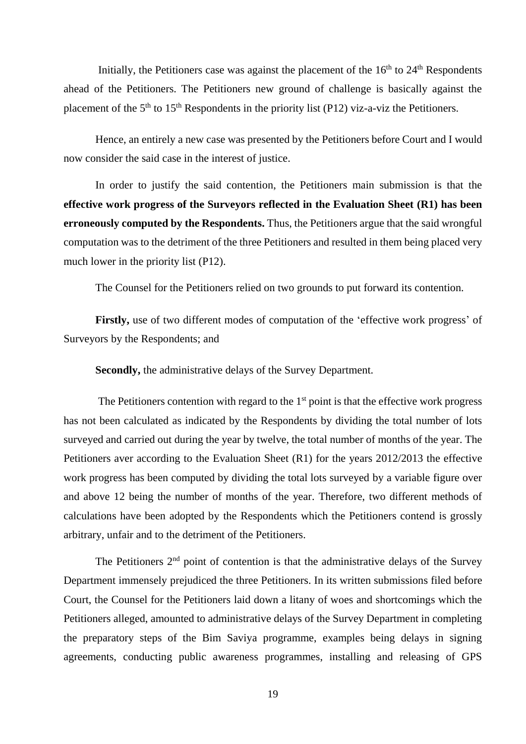Initially, the Petitioners case was against the placement of the  $16<sup>th</sup>$  to  $24<sup>th</sup>$  Respondents ahead of the Petitioners. The Petitioners new ground of challenge is basically against the placement of the  $5<sup>th</sup>$  to  $15<sup>th</sup>$  Respondents in the priority list (P12) viz-a-viz the Petitioners.

Hence, an entirely a new case was presented by the Petitioners before Court and I would now consider the said case in the interest of justice.

In order to justify the said contention, the Petitioners main submission is that the **effective work progress of the Surveyors reflected in the Evaluation Sheet (R1) has been erroneously computed by the Respondents.** Thus, the Petitioners argue that the said wrongful computation was to the detriment of the three Petitioners and resulted in them being placed very much lower in the priority list (P12).

The Counsel for the Petitioners relied on two grounds to put forward its contention.

Firstly, use of two different modes of computation of the 'effective work progress' of Surveyors by the Respondents; and

**Secondly,** the administrative delays of the Survey Department.

The Petitioners contention with regard to the  $1<sup>st</sup>$  point is that the effective work progress has not been calculated as indicated by the Respondents by dividing the total number of lots surveyed and carried out during the year by twelve, the total number of months of the year. The Petitioners aver according to the Evaluation Sheet (R1) for the years 2012/2013 the effective work progress has been computed by dividing the total lots surveyed by a variable figure over and above 12 being the number of months of the year. Therefore, two different methods of calculations have been adopted by the Respondents which the Petitioners contend is grossly arbitrary, unfair and to the detriment of the Petitioners.

The Petitioners  $2<sup>nd</sup>$  point of contention is that the administrative delays of the Survey Department immensely prejudiced the three Petitioners. In its written submissions filed before Court, the Counsel for the Petitioners laid down a litany of woes and shortcomings which the Petitioners alleged, amounted to administrative delays of the Survey Department in completing the preparatory steps of the Bim Saviya programme, examples being delays in signing agreements, conducting public awareness programmes, installing and releasing of GPS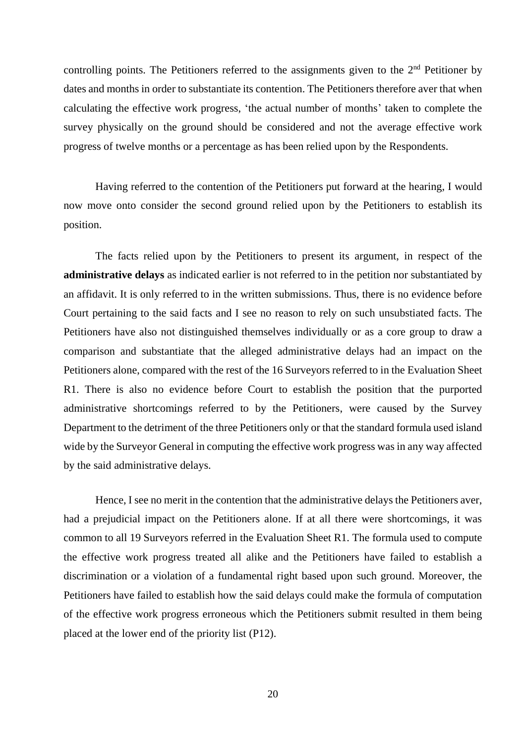controlling points. The Petitioners referred to the assignments given to the  $2<sup>nd</sup>$  Petitioner by dates and months in order to substantiate its contention. The Petitioners therefore aver that when calculating the effective work progress, 'the actual number of months' taken to complete the survey physically on the ground should be considered and not the average effective work progress of twelve months or a percentage as has been relied upon by the Respondents.

Having referred to the contention of the Petitioners put forward at the hearing, I would now move onto consider the second ground relied upon by the Petitioners to establish its position.

The facts relied upon by the Petitioners to present its argument, in respect of the **administrative delays** as indicated earlier is not referred to in the petition nor substantiated by an affidavit. It is only referred to in the written submissions. Thus, there is no evidence before Court pertaining to the said facts and I see no reason to rely on such unsubstiated facts. The Petitioners have also not distinguished themselves individually or as a core group to draw a comparison and substantiate that the alleged administrative delays had an impact on the Petitioners alone, compared with the rest of the 16 Surveyors referred to in the Evaluation Sheet R1. There is also no evidence before Court to establish the position that the purported administrative shortcomings referred to by the Petitioners, were caused by the Survey Department to the detriment of the three Petitioners only or that the standard formula used island wide by the Surveyor General in computing the effective work progress was in any way affected by the said administrative delays.

Hence, I see no merit in the contention that the administrative delays the Petitioners aver, had a prejudicial impact on the Petitioners alone. If at all there were shortcomings, it was common to all 19 Surveyors referred in the Evaluation Sheet R1. The formula used to compute the effective work progress treated all alike and the Petitioners have failed to establish a discrimination or a violation of a fundamental right based upon such ground. Moreover, the Petitioners have failed to establish how the said delays could make the formula of computation of the effective work progress erroneous which the Petitioners submit resulted in them being placed at the lower end of the priority list (P12).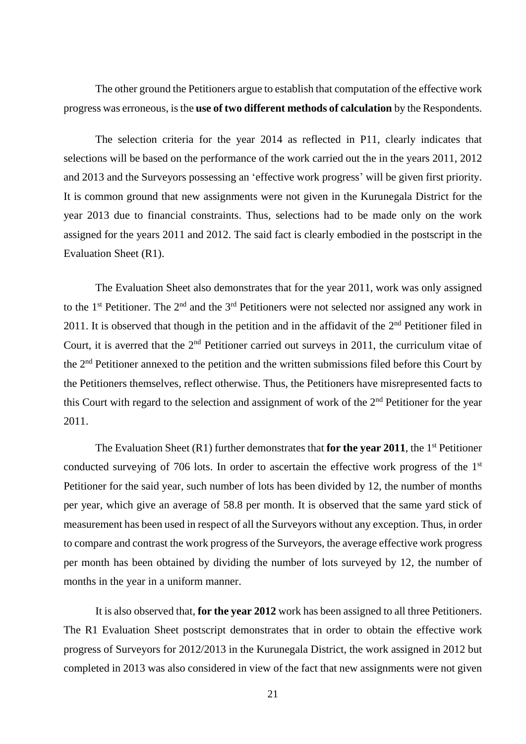The other ground the Petitioners argue to establish that computation of the effective work progress was erroneous, is the **use of two different methods of calculation** by the Respondents.

The selection criteria for the year 2014 as reflected in P11, clearly indicates that selections will be based on the performance of the work carried out the in the years 2011, 2012 and 2013 and the Surveyors possessing an 'effective work progress' will be given first priority. It is common ground that new assignments were not given in the Kurunegala District for the year 2013 due to financial constraints. Thus, selections had to be made only on the work assigned for the years 2011 and 2012. The said fact is clearly embodied in the postscript in the Evaluation Sheet (R1).

The Evaluation Sheet also demonstrates that for the year 2011, work was only assigned to the  $1<sup>st</sup>$  Petitioner. The  $2<sup>nd</sup>$  and the  $3<sup>rd</sup>$  Petitioners were not selected nor assigned any work in 2011. It is observed that though in the petition and in the affidavit of the 2<sup>nd</sup> Petitioner filed in Court, it is averred that the  $2<sup>nd</sup>$  Petitioner carried out surveys in 2011, the curriculum vitae of the 2nd Petitioner annexed to the petition and the written submissions filed before this Court by the Petitioners themselves, reflect otherwise. Thus, the Petitioners have misrepresented facts to this Court with regard to the selection and assignment of work of the 2<sup>nd</sup> Petitioner for the year 2011.

The Evaluation Sheet  $(R1)$  further demonstrates that **for the year 2011**, the 1<sup>st</sup> Petitioner conducted surveying of 706 lots. In order to ascertain the effective work progress of the 1<sup>st</sup> Petitioner for the said year, such number of lots has been divided by 12, the number of months per year, which give an average of 58.8 per month. It is observed that the same yard stick of measurement has been used in respect of all the Surveyors without any exception. Thus, in order to compare and contrast the work progress of the Surveyors, the average effective work progress per month has been obtained by dividing the number of lots surveyed by 12, the number of months in the year in a uniform manner.

It is also observed that, **for the year 2012** work has been assigned to all three Petitioners. The R1 Evaluation Sheet postscript demonstrates that in order to obtain the effective work progress of Surveyors for 2012/2013 in the Kurunegala District, the work assigned in 2012 but completed in 2013 was also considered in view of the fact that new assignments were not given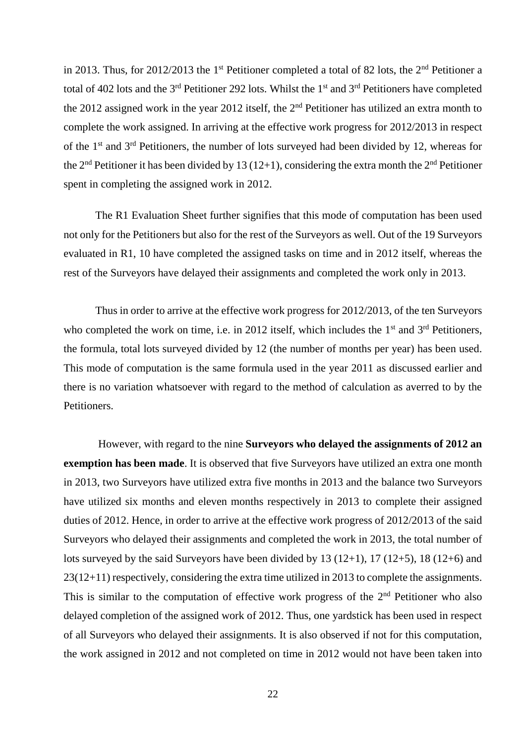in 2013. Thus, for  $2012/2013$  the 1<sup>st</sup> Petitioner completed a total of 82 lots, the 2<sup>nd</sup> Petitioner a total of 402 lots and the 3<sup>rd</sup> Petitioner 292 lots. Whilst the 1<sup>st</sup> and 3<sup>rd</sup> Petitioners have completed the 2012 assigned work in the year 2012 itself, the 2nd Petitioner has utilized an extra month to complete the work assigned. In arriving at the effective work progress for 2012/2013 in respect of the 1<sup>st</sup> and 3<sup>rd</sup> Petitioners, the number of lots surveyed had been divided by 12, whereas for the 2<sup>nd</sup> Petitioner it has been divided by 13 (12+1), considering the extra month the 2<sup>nd</sup> Petitioner spent in completing the assigned work in 2012.

The R1 Evaluation Sheet further signifies that this mode of computation has been used not only for the Petitioners but also for the rest of the Surveyors as well. Out of the 19 Surveyors evaluated in R1, 10 have completed the assigned tasks on time and in 2012 itself, whereas the rest of the Surveyors have delayed their assignments and completed the work only in 2013.

Thus in order to arrive at the effective work progress for 2012/2013, of the ten Surveyors who completed the work on time, i.e. in 2012 itself, which includes the  $1<sup>st</sup>$  and  $3<sup>rd</sup>$  Petitioners, the formula, total lots surveyed divided by 12 (the number of months per year) has been used. This mode of computation is the same formula used in the year 2011 as discussed earlier and there is no variation whatsoever with regard to the method of calculation as averred to by the Petitioners.

However, with regard to the nine **Surveyors who delayed the assignments of 2012 an exemption has been made**. It is observed that five Surveyors have utilized an extra one month in 2013, two Surveyors have utilized extra five months in 2013 and the balance two Surveyors have utilized six months and eleven months respectively in 2013 to complete their assigned duties of 2012. Hence, in order to arrive at the effective work progress of 2012/2013 of the said Surveyors who delayed their assignments and completed the work in 2013, the total number of lots surveyed by the said Surveyors have been divided by 13 (12+1), 17 (12+5), 18 (12+6) and 23(12+11) respectively, considering the extra time utilized in 2013 to complete the assignments. This is similar to the computation of effective work progress of the  $2<sup>nd</sup>$  Petitioner who also delayed completion of the assigned work of 2012. Thus, one yardstick has been used in respect of all Surveyors who delayed their assignments. It is also observed if not for this computation, the work assigned in 2012 and not completed on time in 2012 would not have been taken into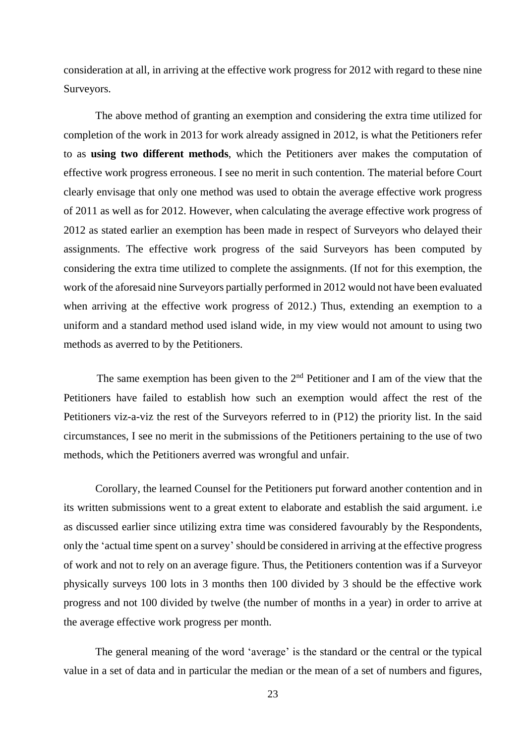consideration at all, in arriving at the effective work progress for 2012 with regard to these nine Surveyors.

The above method of granting an exemption and considering the extra time utilized for completion of the work in 2013 for work already assigned in 2012, is what the Petitioners refer to as **using two different methods**, which the Petitioners aver makes the computation of effective work progress erroneous. I see no merit in such contention. The material before Court clearly envisage that only one method was used to obtain the average effective work progress of 2011 as well as for 2012. However, when calculating the average effective work progress of 2012 as stated earlier an exemption has been made in respect of Surveyors who delayed their assignments. The effective work progress of the said Surveyors has been computed by considering the extra time utilized to complete the assignments. (If not for this exemption, the work of the aforesaid nine Surveyors partially performed in 2012 would not have been evaluated when arriving at the effective work progress of 2012.) Thus, extending an exemption to a uniform and a standard method used island wide, in my view would not amount to using two methods as averred to by the Petitioners.

The same exemption has been given to the  $2<sup>nd</sup>$  Petitioner and I am of the view that the Petitioners have failed to establish how such an exemption would affect the rest of the Petitioners viz-a-viz the rest of the Surveyors referred to in (P12) the priority list. In the said circumstances, I see no merit in the submissions of the Petitioners pertaining to the use of two methods, which the Petitioners averred was wrongful and unfair.

Corollary, the learned Counsel for the Petitioners put forward another contention and in its written submissions went to a great extent to elaborate and establish the said argument. i.e as discussed earlier since utilizing extra time was considered favourably by the Respondents, only the 'actual time spent on a survey' should be considered in arriving at the effective progress of work and not to rely on an average figure. Thus, the Petitioners contention was if a Surveyor physically surveys 100 lots in 3 months then 100 divided by 3 should be the effective work progress and not 100 divided by twelve (the number of months in a year) in order to arrive at the average effective work progress per month.

The general meaning of the word 'average' is the standard or the central or the typical value in a set of data and in particular the median or the mean of a set of numbers and figures,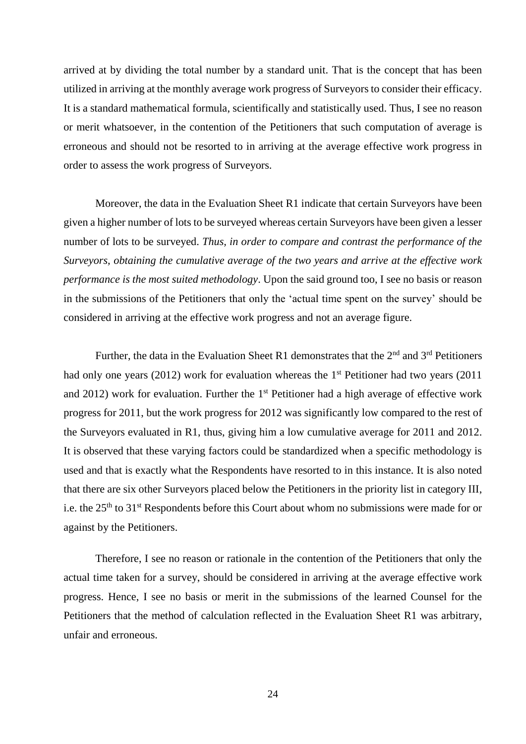arrived at by dividing the total number by a standard unit. That is the concept that has been utilized in arriving at the monthly average work progress of Surveyors to consider their efficacy. It is a standard mathematical formula, scientifically and statistically used. Thus, I see no reason or merit whatsoever, in the contention of the Petitioners that such computation of average is erroneous and should not be resorted to in arriving at the average effective work progress in order to assess the work progress of Surveyors.

Moreover, the data in the Evaluation Sheet R1 indicate that certain Surveyors have been given a higher number of lots to be surveyed whereas certain Surveyors have been given a lesser number of lots to be surveyed. *Thus, in order to compare and contrast the performance of the Surveyors, obtaining the cumulative average of the two years and arrive at the effective work performance is the most suited methodology*. Upon the said ground too, I see no basis or reason in the submissions of the Petitioners that only the 'actual time spent on the survey' should be considered in arriving at the effective work progress and not an average figure.

Further, the data in the Evaluation Sheet R1 demonstrates that the  $2<sup>nd</sup>$  and  $3<sup>rd</sup>$  Petitioners had only one years (2012) work for evaluation whereas the  $1<sup>st</sup>$  Petitioner had two years (2011) and 2012) work for evaluation. Further the  $1<sup>st</sup>$  Petitioner had a high average of effective work progress for 2011, but the work progress for 2012 was significantly low compared to the rest of the Surveyors evaluated in R1, thus, giving him a low cumulative average for 2011 and 2012. It is observed that these varying factors could be standardized when a specific methodology is used and that is exactly what the Respondents have resorted to in this instance. It is also noted that there are six other Surveyors placed below the Petitioners in the priority list in category III, i.e. the 25<sup>th</sup> to 31<sup>st</sup> Respondents before this Court about whom no submissions were made for or against by the Petitioners.

Therefore, I see no reason or rationale in the contention of the Petitioners that only the actual time taken for a survey, should be considered in arriving at the average effective work progress. Hence, I see no basis or merit in the submissions of the learned Counsel for the Petitioners that the method of calculation reflected in the Evaluation Sheet R1 was arbitrary, unfair and erroneous.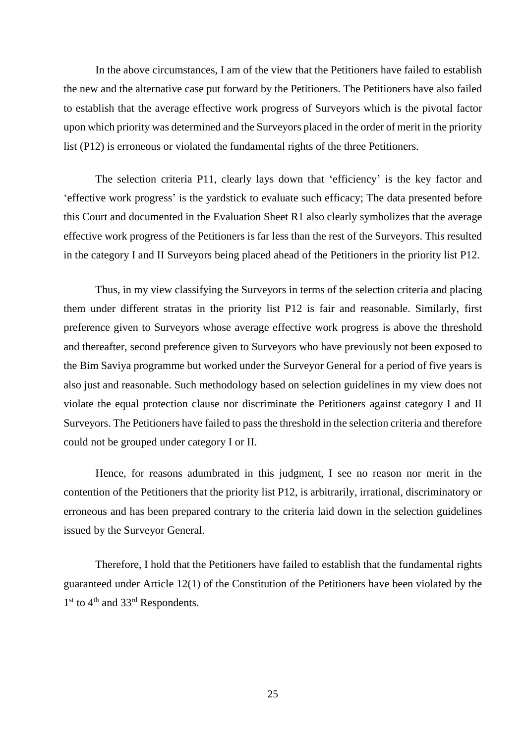In the above circumstances, I am of the view that the Petitioners have failed to establish the new and the alternative case put forward by the Petitioners. The Petitioners have also failed to establish that the average effective work progress of Surveyors which is the pivotal factor upon which priority was determined and the Surveyors placed in the order of merit in the priority list (P12) is erroneous or violated the fundamental rights of the three Petitioners.

The selection criteria P11, clearly lays down that 'efficiency' is the key factor and 'effective work progress' is the yardstick to evaluate such efficacy; The data presented before this Court and documented in the Evaluation Sheet R1 also clearly symbolizes that the average effective work progress of the Petitioners is far less than the rest of the Surveyors. This resulted in the category I and II Surveyors being placed ahead of the Petitioners in the priority list P12.

Thus, in my view classifying the Surveyors in terms of the selection criteria and placing them under different stratas in the priority list P12 is fair and reasonable. Similarly, first preference given to Surveyors whose average effective work progress is above the threshold and thereafter, second preference given to Surveyors who have previously not been exposed to the Bim Saviya programme but worked under the Surveyor General for a period of five years is also just and reasonable. Such methodology based on selection guidelines in my view does not violate the equal protection clause nor discriminate the Petitioners against category I and II Surveyors. The Petitioners have failed to pass the threshold in the selection criteria and therefore could not be grouped under category I or II.

Hence, for reasons adumbrated in this judgment, I see no reason nor merit in the contention of the Petitioners that the priority list P12, is arbitrarily, irrational, discriminatory or erroneous and has been prepared contrary to the criteria laid down in the selection guidelines issued by the Surveyor General.

Therefore, I hold that the Petitioners have failed to establish that the fundamental rights guaranteed under Article 12(1) of the Constitution of the Petitioners have been violated by the 1<sup>st</sup> to 4<sup>th</sup> and 33<sup>rd</sup> Respondents.